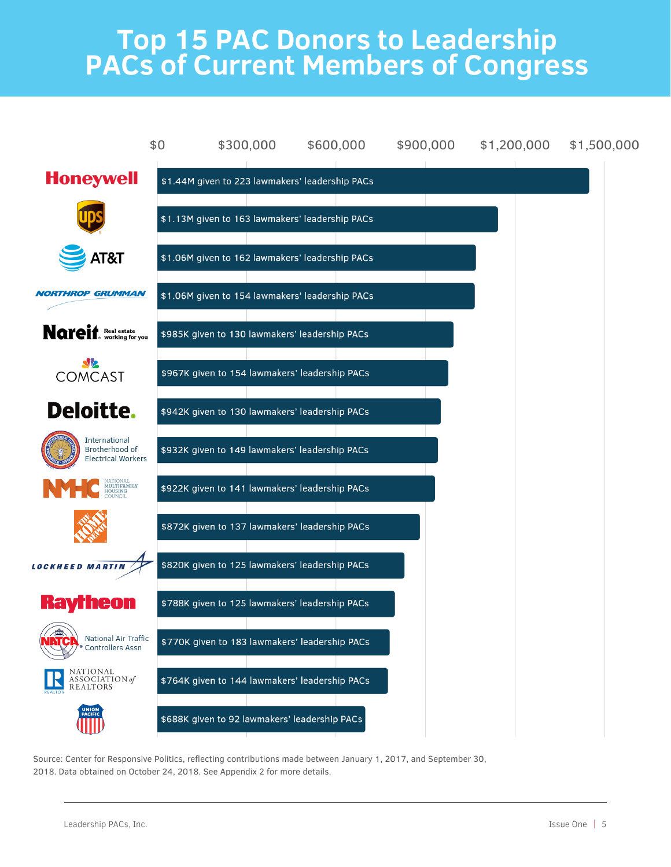## **Top 15 PAC Donors to Leadership PACs of Current Members of Congress**



Source: Center for Responsive Politics, reflecting contributions made between January 1, 2017, and September 30, 2018. Data obtained on October 24, 2018. See Appendix 2 for more details.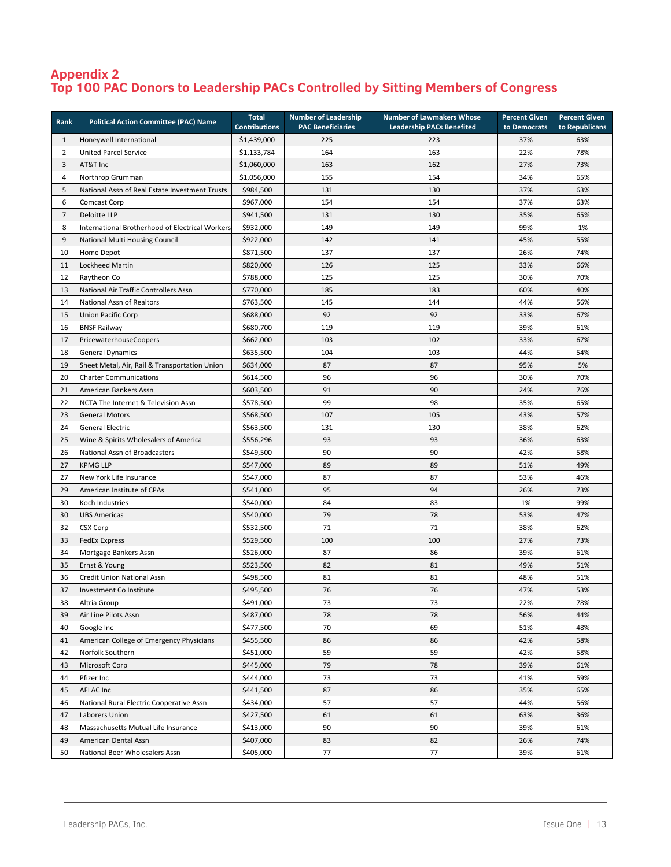## **Appendix 2 Top 100 PAC Donors to Leadership PACs Controlled by Sitting Members of Congress**

| Rank           | <b>Political Action Committee (PAC) Name</b>    | <b>Total</b><br><b>Contributions</b> | <b>Number of Leadership</b><br><b>PAC Beneficiaries</b> | <b>Number of Lawmakers Whose</b><br><b>Leadership PACs Benefited</b> | <b>Percent Given</b><br>to Democrats | <b>Percent Given</b><br>to Republicans |
|----------------|-------------------------------------------------|--------------------------------------|---------------------------------------------------------|----------------------------------------------------------------------|--------------------------------------|----------------------------------------|
| $\mathbf{1}$   | Honeywell International                         | \$1,439,000                          | 225                                                     | 223                                                                  | 37%                                  | 63%                                    |
| $\overline{2}$ | <b>United Parcel Service</b>                    | \$1,133,784                          | 164                                                     | 163                                                                  | 22%                                  | 78%                                    |
| 3              | AT&T Inc                                        | \$1,060,000                          | 163                                                     | 162                                                                  | 27%                                  | 73%                                    |
| 4              | Northrop Grumman                                | \$1,056,000                          | 155                                                     | 154                                                                  | 34%                                  | 65%                                    |
| 5              | National Assn of Real Estate Investment Trusts  | \$984,500                            | 131                                                     | 130                                                                  | 37%                                  | 63%                                    |
| 6              | Comcast Corp                                    | \$967,000                            | 154                                                     | 154                                                                  | 37%                                  | 63%                                    |
| 7              | Deloitte LLP                                    | \$941,500                            | 131                                                     | 130                                                                  | 35%                                  | 65%                                    |
| 8              | International Brotherhood of Electrical Workers | \$932,000                            | 149                                                     | 149                                                                  | 99%                                  | 1%                                     |
| 9              | National Multi Housing Council                  | \$922,000                            | 142                                                     | 141                                                                  | 45%                                  | 55%                                    |
| 10             | Home Depot                                      | \$871,500                            | 137                                                     | 137                                                                  | 26%                                  | 74%                                    |
| 11             | <b>Lockheed Martin</b>                          | \$820,000                            | 126                                                     | 125                                                                  | 33%                                  | 66%                                    |
| 12             | Raytheon Co                                     | \$788,000                            | 125                                                     | 125                                                                  | 30%                                  | 70%                                    |
| 13             | National Air Traffic Controllers Assn           | \$770,000                            | 185                                                     | 183                                                                  | 60%                                  | 40%                                    |
| 14             | National Assn of Realtors                       | \$763,500                            | 145                                                     | 144                                                                  | 44%                                  | 56%                                    |
| 15             | <b>Union Pacific Corp</b>                       | \$688,000                            | 92                                                      | 92                                                                   | 33%                                  | 67%                                    |
| 16             | <b>BNSF Railway</b>                             | \$680,700                            | 119                                                     | 119                                                                  | 39%                                  | 61%                                    |
| 17             | PricewaterhouseCoopers                          | \$662,000                            | 103                                                     | 102                                                                  | 33%                                  | 67%                                    |
| 18             | <b>General Dynamics</b>                         | \$635,500                            | 104                                                     | 103                                                                  | 44%                                  | 54%                                    |
| 19             | Sheet Metal, Air, Rail & Transportation Union   | \$634,000                            | 87                                                      | 87                                                                   | 95%                                  | 5%                                     |
| 20             | <b>Charter Communications</b>                   | \$614,500                            | 96                                                      | 96                                                                   | 30%                                  | 70%                                    |
| 21             | American Bankers Assn                           | \$603,500                            | 91                                                      | 90                                                                   | 24%                                  | 76%                                    |
| 22             | NCTA The Internet & Television Assn             | \$578,500                            | 99                                                      | 98                                                                   | 35%                                  | 65%                                    |
| 23             | <b>General Motors</b>                           | \$568,500                            | 107                                                     | 105                                                                  | 43%                                  | 57%                                    |
| 24             | <b>General Electric</b>                         | \$563,500                            | 131                                                     | 130                                                                  | 38%                                  | 62%                                    |
| 25             | Wine & Spirits Wholesalers of America           | \$556,296                            | 93                                                      | 93                                                                   | 36%                                  | 63%                                    |
| 26             | National Assn of Broadcasters                   | \$549,500                            | 90                                                      | 90                                                                   | 42%                                  | 58%                                    |
| 27             | <b>KPMG LLP</b>                                 | \$547,000                            | 89                                                      | 89                                                                   | 51%                                  | 49%                                    |
| 27             | New York Life Insurance                         | \$547,000                            | 87                                                      | 87                                                                   | 53%                                  | 46%                                    |
| 29             | American Institute of CPAs                      | \$541,000                            | 95                                                      | 94                                                                   | 26%                                  | 73%                                    |
| 30             | Koch Industries                                 | \$540,000                            | 84                                                      | 83                                                                   | 1%                                   | 99%                                    |
| 30             | <b>UBS Americas</b>                             | \$540,000                            | 79                                                      | 78                                                                   | 53%                                  | 47%                                    |
| 32             | <b>CSX Corp</b>                                 | \$532,500                            | 71                                                      | 71                                                                   | 38%                                  | 62%                                    |
| 33             | <b>FedEx Express</b>                            | \$529,500                            | 100                                                     | 100                                                                  | 27%                                  | 73%                                    |
| 34             | Mortgage Bankers Assn                           | \$526,000                            | 87                                                      | 86                                                                   | 39%                                  | 61%                                    |
| 35             | Ernst & Young                                   | \$523,500                            | 82                                                      | 81                                                                   | 49%                                  | 51%                                    |
| 36             | Credit Union National Assn                      | \$498,500                            | 81                                                      | 81                                                                   | 48%                                  | 51%                                    |
| 37             | Investment Co Institute                         | \$495,500                            | 76                                                      | 76                                                                   | 47%                                  | 53%                                    |
| 38             | Altria Group                                    | \$491,000                            | 73                                                      | 73                                                                   | 22%                                  | 78%                                    |
| 39             | Air Line Pilots Assn                            | \$487,000                            | 78                                                      | 78                                                                   | 56%                                  | 44%                                    |
| 40             | Google Inc                                      | \$477,500                            | 70                                                      | 69                                                                   | 51%                                  | 48%                                    |
| 41             | American College of Emergency Physicians        | \$455,500                            | 86                                                      | 86                                                                   | 42%                                  | 58%                                    |
| 42             | Norfolk Southern                                | \$451,000                            | 59                                                      | 59                                                                   | 42%                                  | 58%                                    |
| 43             | Microsoft Corp                                  | \$445,000                            | 79                                                      | 78                                                                   | 39%                                  | 61%                                    |
| 44             | Pfizer Inc                                      | \$444,000                            | 73                                                      | 73                                                                   | 41%                                  | 59%                                    |
| 45             | <b>AFLAC Inc</b>                                | \$441,500                            | 87                                                      | 86                                                                   | 35%                                  | 65%                                    |
| 46             | National Rural Electric Cooperative Assn        | \$434,000                            | 57                                                      | 57                                                                   | 44%                                  | 56%                                    |
| 47             | Laborers Union                                  | \$427,500                            | 61                                                      | 61                                                                   | 63%                                  | 36%                                    |
| 48             | Massachusetts Mutual Life Insurance             | \$413,000                            | 90                                                      | 90                                                                   | 39%                                  | 61%                                    |
| 49             | American Dental Assn                            | \$407,000                            | 83                                                      | 82                                                                   | 26%                                  | 74%                                    |
| 50             | National Beer Wholesalers Assn                  | \$405,000                            | 77                                                      | 77                                                                   | 39%                                  | 61%                                    |

 $\frac{1}{\sqrt{3}}$  was a set of the state increase of the state  $\frac{1}{\sqrt{3}}$  group  $\frac{1}{\sqrt{3}}$  group  $\frac{1}{\sqrt{3}}$  group  $\frac{1}{\sqrt{3}}$  group  $\frac{1}{\sqrt{3}}$  group  $\frac{1}{\sqrt{3}}$  group  $\frac{1}{\sqrt{3}}$  group  $\frac{1}{\sqrt{3}}$  group  $\frac{1}{\sqrt{3}}$